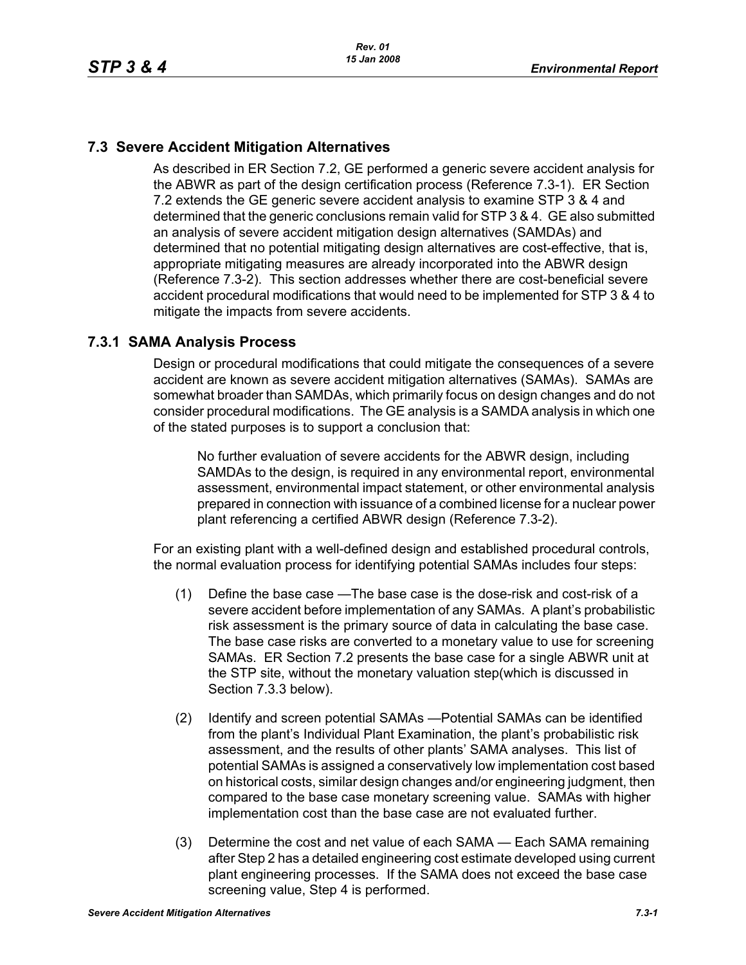# **7.3 Severe Accident Mitigation Alternatives**

As described in ER Section 7.2, GE performed a generic severe accident analysis for the ABWR as part of the design certification process (Reference 7.3-1). ER Section 7.2 extends the GE generic severe accident analysis to examine STP 3 & 4 and determined that the generic conclusions remain valid for STP 3 & 4. GE also submitted an analysis of severe accident mitigation design alternatives (SAMDAs) and determined that no potential mitigating design alternatives are cost-effective, that is, appropriate mitigating measures are already incorporated into the ABWR design (Reference 7.3-2). This section addresses whether there are cost-beneficial severe accident procedural modifications that would need to be implemented for STP 3 & 4 to mitigate the impacts from severe accidents.

## **7.3.1 SAMA Analysis Process**

Design or procedural modifications that could mitigate the consequences of a severe accident are known as severe accident mitigation alternatives (SAMAs). SAMAs are somewhat broader than SAMDAs, which primarily focus on design changes and do not consider procedural modifications. The GE analysis is a SAMDA analysis in which one of the stated purposes is to support a conclusion that:

No further evaluation of severe accidents for the ABWR design, including SAMDAs to the design, is required in any environmental report, environmental assessment, environmental impact statement, or other environmental analysis prepared in connection with issuance of a combined license for a nuclear power plant referencing a certified ABWR design (Reference 7.3-2).

For an existing plant with a well-defined design and established procedural controls, the normal evaluation process for identifying potential SAMAs includes four steps:

- (1) Define the base case —The base case is the dose-risk and cost-risk of a severe accident before implementation of any SAMAs. A plant's probabilistic risk assessment is the primary source of data in calculating the base case. The base case risks are converted to a monetary value to use for screening SAMAs. ER Section 7.2 presents the base case for a single ABWR unit at the STP site, without the monetary valuation step(which is discussed in Section 7.3.3 below).
- (2) Identify and screen potential SAMAs —Potential SAMAs can be identified from the plant's Individual Plant Examination, the plant's probabilistic risk assessment, and the results of other plants' SAMA analyses. This list of potential SAMAs is assigned a conservatively low implementation cost based on historical costs, similar design changes and/or engineering judgment, then compared to the base case monetary screening value. SAMAs with higher implementation cost than the base case are not evaluated further.
- (3) Determine the cost and net value of each SAMA Each SAMA remaining after Step 2 has a detailed engineering cost estimate developed using current plant engineering processes. If the SAMA does not exceed the base case screening value, Step 4 is performed.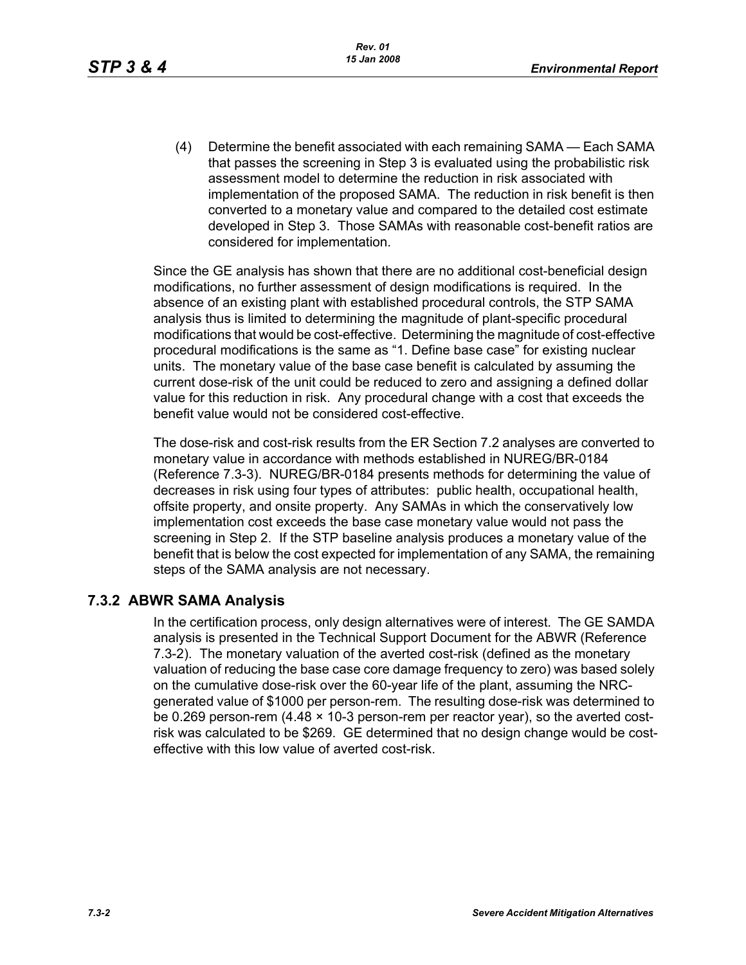(4) Determine the benefit associated with each remaining SAMA — Each SAMA that passes the screening in Step 3 is evaluated using the probabilistic risk assessment model to determine the reduction in risk associated with implementation of the proposed SAMA. The reduction in risk benefit is then converted to a monetary value and compared to the detailed cost estimate developed in Step 3. Those SAMAs with reasonable cost-benefit ratios are considered for implementation.

Since the GE analysis has shown that there are no additional cost-beneficial design modifications, no further assessment of design modifications is required. In the absence of an existing plant with established procedural controls, the STP SAMA analysis thus is limited to determining the magnitude of plant-specific procedural modifications that would be cost-effective. Determining the magnitude of cost-effective procedural modifications is the same as "1. Define base case" for existing nuclear units. The monetary value of the base case benefit is calculated by assuming the current dose-risk of the unit could be reduced to zero and assigning a defined dollar value for this reduction in risk. Any procedural change with a cost that exceeds the benefit value would not be considered cost-effective.

The dose-risk and cost-risk results from the ER Section 7.2 analyses are converted to monetary value in accordance with methods established in NUREG/BR-0184 (Reference 7.3-3). NUREG/BR-0184 presents methods for determining the value of decreases in risk using four types of attributes: public health, occupational health, offsite property, and onsite property. Any SAMAs in which the conservatively low implementation cost exceeds the base case monetary value would not pass the screening in Step 2. If the STP baseline analysis produces a monetary value of the benefit that is below the cost expected for implementation of any SAMA, the remaining steps of the SAMA analysis are not necessary.

## **7.3.2 ABWR SAMA Analysis**

In the certification process, only design alternatives were of interest. The GE SAMDA analysis is presented in the Technical Support Document for the ABWR (Reference 7.3-2). The monetary valuation of the averted cost-risk (defined as the monetary valuation of reducing the base case core damage frequency to zero) was based solely on the cumulative dose-risk over the 60-year life of the plant, assuming the NRCgenerated value of \$1000 per person-rem. The resulting dose-risk was determined to be 0.269 person-rem (4.48 × 10-3 person-rem per reactor year), so the averted costrisk was calculated to be \$269. GE determined that no design change would be costeffective with this low value of averted cost-risk.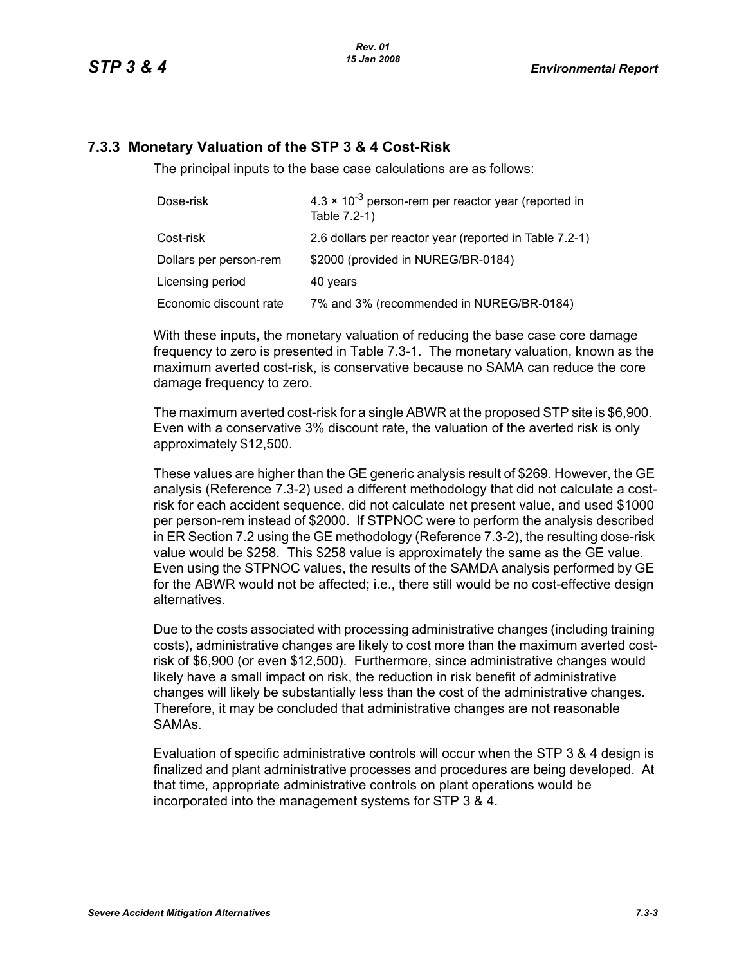### **7.3.3 Monetary Valuation of the STP 3 & 4 Cost-Risk**

The principal inputs to the base case calculations are as follows:

| Dose-risk              | $4.3 \times 10^{-3}$ person-rem per reactor year (reported in<br>Table 7.2-1) |  |
|------------------------|-------------------------------------------------------------------------------|--|
| Cost-risk              | 2.6 dollars per reactor year (reported in Table 7.2-1)                        |  |
| Dollars per person-rem | \$2000 (provided in NUREG/BR-0184)                                            |  |
| Licensing period       | 40 years                                                                      |  |
| Economic discount rate | 7% and 3% (recommended in NUREG/BR-0184)                                      |  |

With these inputs, the monetary valuation of reducing the base case core damage frequency to zero is presented in Table 7.3-1. The monetary valuation, known as the maximum averted cost-risk, is conservative because no SAMA can reduce the core damage frequency to zero.

The maximum averted cost-risk for a single ABWR at the proposed STP site is \$6,900. Even with a conservative 3% discount rate, the valuation of the averted risk is only approximately \$12,500.

These values are higher than the GE generic analysis result of \$269. However, the GE analysis (Reference 7.3-2) used a different methodology that did not calculate a costrisk for each accident sequence, did not calculate net present value, and used \$1000 per person-rem instead of \$2000. If STPNOC were to perform the analysis described in ER Section 7.2 using the GE methodology (Reference 7.3-2), the resulting dose-risk value would be \$258. This \$258 value is approximately the same as the GE value. Even using the STPNOC values, the results of the SAMDA analysis performed by GE for the ABWR would not be affected; i.e., there still would be no cost-effective design alternatives.

Due to the costs associated with processing administrative changes (including training costs), administrative changes are likely to cost more than the maximum averted costrisk of \$6,900 (or even \$12,500). Furthermore, since administrative changes would likely have a small impact on risk, the reduction in risk benefit of administrative changes will likely be substantially less than the cost of the administrative changes. Therefore, it may be concluded that administrative changes are not reasonable SAMAs.

Evaluation of specific administrative controls will occur when the STP 3 & 4 design is finalized and plant administrative processes and procedures are being developed. At that time, appropriate administrative controls on plant operations would be incorporated into the management systems for STP 3 & 4.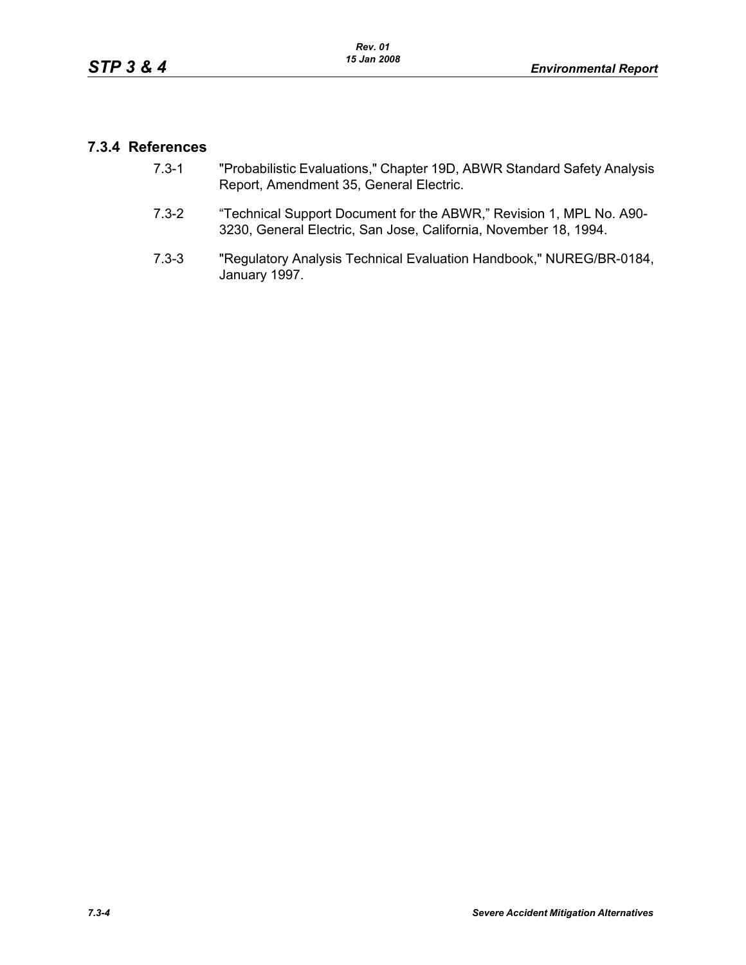## **7.3.4 References**

- 7.3-1 "Probabilistic Evaluations," Chapter 19D, ABWR Standard Safety Analysis Report, Amendment 35, General Electric.
- 7.3-2 "Technical Support Document for the ABWR," Revision 1, MPL No. A90- 3230, General Electric, San Jose, California, November 18, 1994.
- 7.3-3 "Regulatory Analysis Technical Evaluation Handbook," NUREG/BR-0184, January 1997.